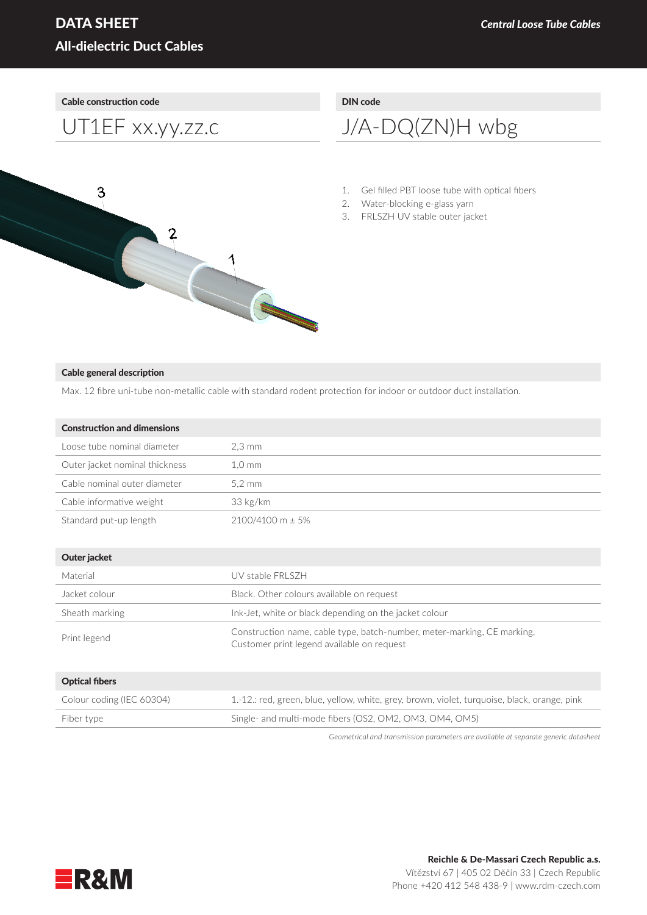### **Cable construction code DIN** code

3

 $\overline{2}$ 

1

C



# UT1EF xx.yy.zz.c J/A-DQ(ZN)H wbg

- 1. Gel filled PBT loose tube with optical fibers
- 2. Water-blocking e-glass yarn
- 3. FRLSZH UV stable outer jacket



Max. 12 fibre uni-tube non-metallic cable with standard rodent protection for indoor or outdoor duct installation.

| <b>Construction and dimensions</b> |                                                                                                                       |  |
|------------------------------------|-----------------------------------------------------------------------------------------------------------------------|--|
| Loose tube nominal diameter        | $2.3 \text{ mm}$                                                                                                      |  |
| Outer jacket nominal thickness     | $1.0 \text{ mm}$                                                                                                      |  |
| Cable nominal outer diameter       | $5,2 \, \mathrm{mm}$                                                                                                  |  |
| Cable informative weight           | 33 kg/km                                                                                                              |  |
| Standard put-up length             | 2100/4100 m ± 5%                                                                                                      |  |
|                                    |                                                                                                                       |  |
| Outer jacket                       |                                                                                                                       |  |
| Material                           | UV stable FRLSZH                                                                                                      |  |
| Jacket colour                      | Black. Other colours available on request                                                                             |  |
| Sheath marking                     | Ink-Jet, white or black depending on the jacket colour                                                                |  |
| Print legend                       | Construction name, cable type, batch-number, meter-marking, CE marking,<br>Customer print legend available on request |  |
| <b>Optical fibers</b>              |                                                                                                                       |  |

| Colour coding (IEC 60304) | 1.-12.: red, green, blue, yellow, white, grey, brown, violet, turquoise, black, orange, pink |
|---------------------------|----------------------------------------------------------------------------------------------|
| Fiber tvpe                | Single- and multi-mode fibers (OS2, OM2, OM3, OM4, OM5)                                      |

*Geometrical and transmission parameters are available at separate generic datasheet*